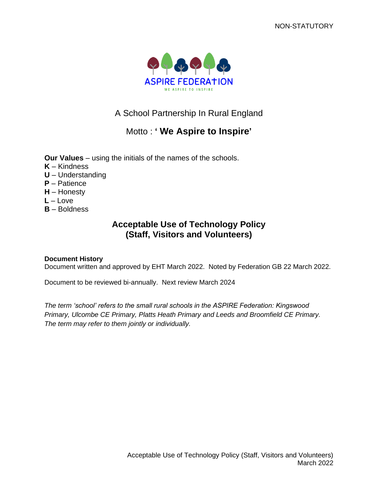

# A School Partnership In Rural England

# Motto : **' We Aspire to Inspire'**

**Our Values** – using the initials of the names of the schools.

- **K** Kindness
- **U** Understanding
- **P** Patience
- **H** Honesty
- **L** Love
- **B** Boldness

# **Acceptable Use of Technology Policy (Staff, Visitors and Volunteers)**

# **Document History**

Document written and approved by EHT March 2022. Noted by Federation GB 22 March 2022.

Document to be reviewed bi-annually. Next review March 2024

*The term 'school' refers to the small rural schools in the ASPIRE Federation: Kingswood Primary, Ulcombe CE Primary, Platts Heath Primary and Leeds and Broomfield CE Primary. The term may refer to them jointly or individually.*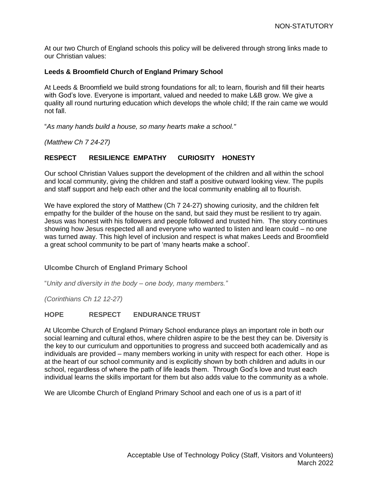At our two Church of England schools this policy will be delivered through strong links made to our Christian values:

## **Leeds & Broomfield Church of England Primary School**

At Leeds & Broomfield we build strong foundations for all; to learn, flourish and fill their hearts with God's love. Everyone is important, valued and needed to make L&B grow. We give a quality all round nurturing education which develops the whole child; If the rain came we would not fall.

"*As many hands build a house, so many hearts make a school."*

*(Matthew Ch 7 24-27)*

# **RESPECT RESILIENCE EMPATHY CURIOSITY HONESTY**

Our school Christian Values support the development of the children and all within the school and local community, giving the children and staff a positive outward looking view. The pupils and staff support and help each other and the local community enabling all to flourish.

We have explored the story of Matthew (Ch 7 24-27) showing curiosity, and the children felt empathy for the builder of the house on the sand, but said they must be resilient to try again. Jesus was honest with his followers and people followed and trusted him. The story continues showing how Jesus respected all and everyone who wanted to listen and learn could – no one was turned away. This high level of inclusion and respect is what makes Leeds and Broomfield a great school community to be part of 'many hearts make a school'.

## **Ulcombe Church of England Primary School**

"*Unity and diversity in the body – one body, many members."*

*(Corinthians Ch 12 12-27)*

## **HOPE RESPECT ENDURANCETRUST**

At Ulcombe Church of England Primary School endurance plays an important role in both our social learning and cultural ethos, where children aspire to be the best they can be. Diversity is the key to our curriculum and opportunities to progress and succeed both academically and as individuals are provided – many members working in unity with respect for each other. Hope is at the heart of our school community and is explicitly shown by both children and adults in our school, regardless of where the path of life leads them. Through God's love and trust each individual learns the skills important for them but also adds value to the community as a whole.

We are Ulcombe Church of England Primary School and each one of us is a part of it!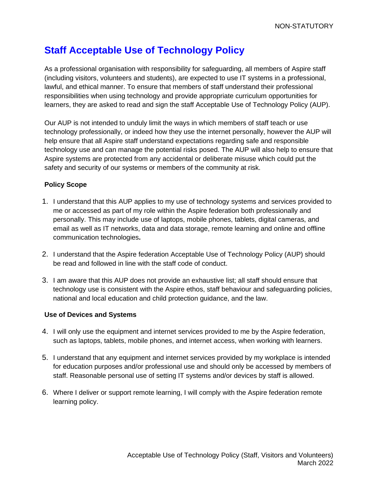# **Staff Acceptable Use of Technology Policy**

As a professional organisation with responsibility for safeguarding, all members of Aspire staff (including visitors, volunteers and students), are expected to use IT systems in a professional, lawful, and ethical manner. To ensure that members of staff understand their professional responsibilities when using technology and provide appropriate curriculum opportunities for learners, they are asked to read and sign the staff Acceptable Use of Technology Policy (AUP).

Our AUP is not intended to unduly limit the ways in which members of staff teach or use technology professionally, or indeed how they use the internet personally, however the AUP will help ensure that all Aspire staff understand expectations regarding safe and responsible technology use and can manage the potential risks posed. The AUP will also help to ensure that Aspire systems are protected from any accidental or deliberate misuse which could put the safety and security of our systems or members of the community at risk.

# **Policy Scope**

- 1. I understand that this AUP applies to my use of technology systems and services provided to me or accessed as part of my role within the Aspire federation both professionally and personally. This may include use of laptops, mobile phones, tablets, digital cameras, and email as well as IT networks, data and data storage, remote learning and online and offline communication technologies**.**
- 2. I understand that the Aspire federation Acceptable Use of Technology Policy (AUP) should be read and followed in line with the staff code of conduct.
- 3. I am aware that this AUP does not provide an exhaustive list; all staff should ensure that technology use is consistent with the Aspire ethos, staff behaviour and safeguarding policies, national and local education and child protection guidance, and the law.

# **Use of Devices and Systems**

- 4. I will only use the equipment and internet services provided to me by the Aspire federation, such as laptops, tablets, mobile phones, and internet access, when working with learners.
- 5. I understand that any equipment and internet services provided by my workplace is intended for education purposes and/or professional use and should only be accessed by members of staff. Reasonable personal use of setting IT systems and/or devices by staff is allowed.
- 6. Where I deliver or support remote learning, I will comply with the Aspire federation remote learning policy.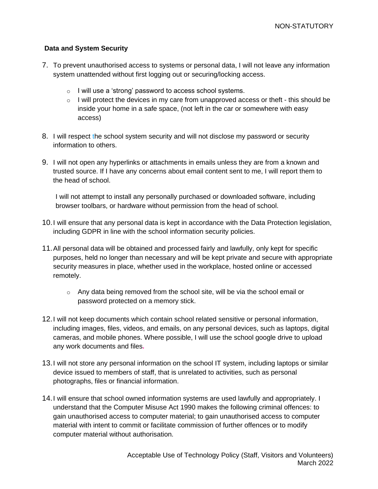# **Data and System Security**

- 7. To prevent unauthorised access to systems or personal data, I will not leave any information system unattended without first logging out or securing/locking access.
	- o I will use a 'strong' password to access school systems.
	- $\circ$  I will protect the devices in my care from unapproved access or theft this should be inside your home in a safe space, (not left in the car or somewhere with easy access)
- 8. I will respect the school system security and will not disclose my password or security information to others.
- 9. I will not open any hyperlinks or attachments in emails unless they are from a known and trusted source. If I have any concerns about email content sent to me, I will report them to the head of school.

I will not attempt to install any personally purchased or downloaded software, including browser toolbars, or hardware without permission from the head of school.

- 10.I will ensure that any personal data is kept in accordance with the Data Protection legislation, including GDPR in line with the school information security policies.
- 11.All personal data will be obtained and processed fairly and lawfully, only kept for specific purposes, held no longer than necessary and will be kept private and secure with appropriate security measures in place, whether used in the workplace, hosted online or accessed remotely.
	- $\circ$  Any data being removed from the school site, will be via the school email or password protected on a memory stick.
- 12.I will not keep documents which contain school related sensitive or personal information, including images, files, videos, and emails, on any personal devices, such as laptops, digital cameras, and mobile phones. Where possible, I will use the school google drive to upload any work documents and files*.*
- 13.I will not store any personal information on the school IT system, including laptops or similar device issued to members of staff, that is unrelated to activities, such as personal photographs, files or financial information.
- 14.I will ensure that school owned information systems are used lawfully and appropriately. I understand that the Computer Misuse Act 1990 makes the following criminal offences: to gain unauthorised access to computer material; to gain unauthorised access to computer material with intent to commit or facilitate commission of further offences or to modify computer material without authorisation.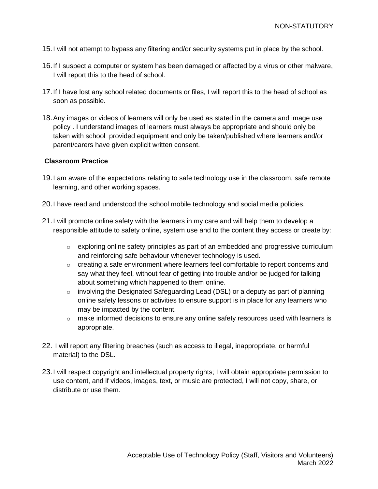- 15.I will not attempt to bypass any filtering and/or security systems put in place by the school.
- 16.If I suspect a computer or system has been damaged or affected by a virus or other malware, I will report this to the head of school.
- 17.If I have lost any school related documents or files, I will report this to the head of school as soon as possible.
- 18.Any images or videos of learners will only be used as stated in the camera and image use policy . I understand images of learners must always be appropriate and should only be taken with school provided equipment and only be taken/published where learners and/or parent/carers have given explicit written consent.

## **Classroom Practice**

- 19.I am aware of the expectations relating to safe technology use in the classroom, safe remote learning, and other working spaces.
- 20.I have read and understood the school mobile technology and social media policies.
- 21.I will promote online safety with the learners in my care and will help them to develop a responsible attitude to safety online, system use and to the content they access or create by:
	- $\circ$  exploring online safety principles as part of an embedded and progressive curriculum and reinforcing safe behaviour whenever technology is used.
	- $\circ$  creating a safe environment where learners feel comfortable to report concerns and say what they feel, without fear of getting into trouble and/or be judged for talking about something which happened to them online.
	- $\circ$  involving the Designated Safeguarding Lead (DSL) or a deputy as part of planning online safety lessons or activities to ensure support is in place for any learners who may be impacted by the content.
	- $\circ$  make informed decisions to ensure any online safety resources used with learners is appropriate.
- 22. I will report any filtering breaches (such as access to illegal, inappropriate, or harmful material) to the DSL.
- 23.I will respect copyright and intellectual property rights; I will obtain appropriate permission to use content, and if videos, images, text, or music are protected, I will not copy, share, or distribute or use them.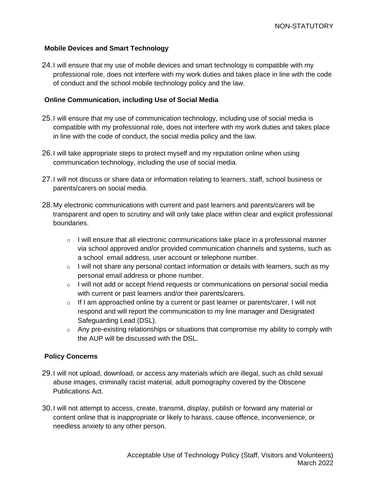## **Mobile Devices and Smart Technology**

24.I will ensure that my use of mobile devices and smart technology is compatible with my professional role, does not interfere with my work duties and takes place in line with the code of conduct and the school mobile technology policy and the law.

# **Online Communication, including Use of Social Media**

- 25.I will ensure that my use of communication technology, including use of social media is compatible with my professional role, does not interfere with my work duties and takes place in line with the code of conduct, the social media policy and the law.
- 26.I will take appropriate steps to protect myself and my reputation online when using communication technology, including the use of social media.
- 27.I will not discuss or share data or information relating to learners, staff, school business or parents/carers on social media.
- 28.My electronic communications with current and past learners and parents/carers will be transparent and open to scrutiny and will only take place within clear and explicit professional boundaries.
	- $\circ$  I will ensure that all electronic communications take place in a professional manner via school approved and/or provided communication channels and systems, such as a school email address, user account or telephone number.
	- $\circ$  I will not share any personal contact information or details with learners, such as my personal email address or phone number.
	- $\circ$  I will not add or accept friend requests or communications on personal social media with current or past learners and/or their parents/carers.
	- $\circ$  If I am approached online by a current or past learner or parents/carer, I will not respond and will report the communication to my line manager and Designated Safeguarding Lead (DSL).
	- $\circ$  Any pre-existing relationships or situations that compromise my ability to comply with the AUP will be discussed with the DSL.

## **Policy Concerns**

- 29.I will not upload, download, or access any materials which are illegal, such as child sexual abuse images, criminally racist material, adult pornography covered by the Obscene Publications Act.
- 30.I will not attempt to access, create, transmit, display, publish or forward any material or content online that is inappropriate or likely to harass, cause offence, inconvenience, or needless anxiety to any other person.